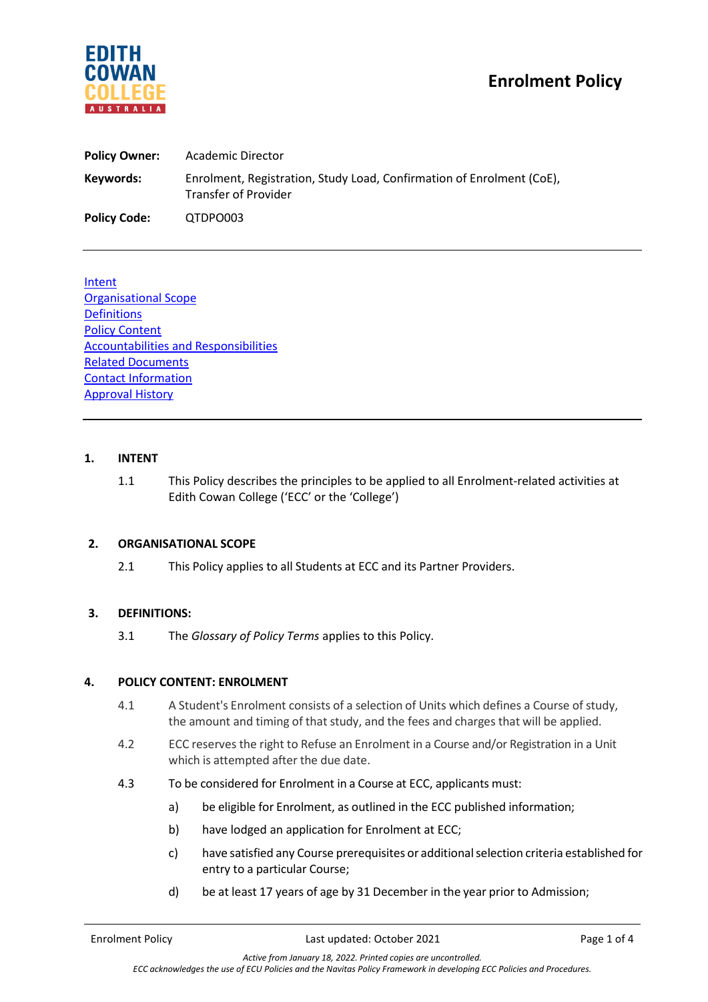

| <b>Policy Owner:</b> | Academic Director                                                                                    |
|----------------------|------------------------------------------------------------------------------------------------------|
| Keywords:            | Enrolment, Registration, Study Load, Confirmation of Enrolment (CoE),<br><b>Transfer of Provider</b> |
| <b>Policy Code:</b>  | QTDPO003                                                                                             |

Intent Organisational Scope **Definitions Policy Content** Accountabilities and Responsibilities Related Documents Contact Information Approval History

## **1. INTENT**

1.1 This Policy describes the principles to be applied to all Enrolment-related activities at Edith Cowan College ('ECC' or the 'College')

# **2. ORGANISATIONAL SCOPE**

2.1 This Policy applies to all Students at ECC and its Partner Providers.

# **3. DEFINITIONS:**

3.1 The *Glossary of Policy Terms* applies to this Policy.

#### **4. POLICY CONTENT: ENROLMENT**

- 4.1 A Student's Enrolment consists of a selection of Units which defines a Course of study, the amount and timing of that study, and the fees and charges that will be applied.
- 4.2 ECC reserves the right to Refuse an Enrolment in a Course and/or Registration in a Unit which is attempted after the due date.
- 4.3 To be considered for Enrolment in a Course at ECC, applicants must:
	- a) be eligible for Enrolment, as outlined in the ECC published information;
	- b) have lodged an application for Enrolment at ECC;
	- c) have satisfied any Course prerequisites or additional selection criteria established for entry to a particular Course;
	- d) be at least 17 years of age by 31 December in the year prior to Admission;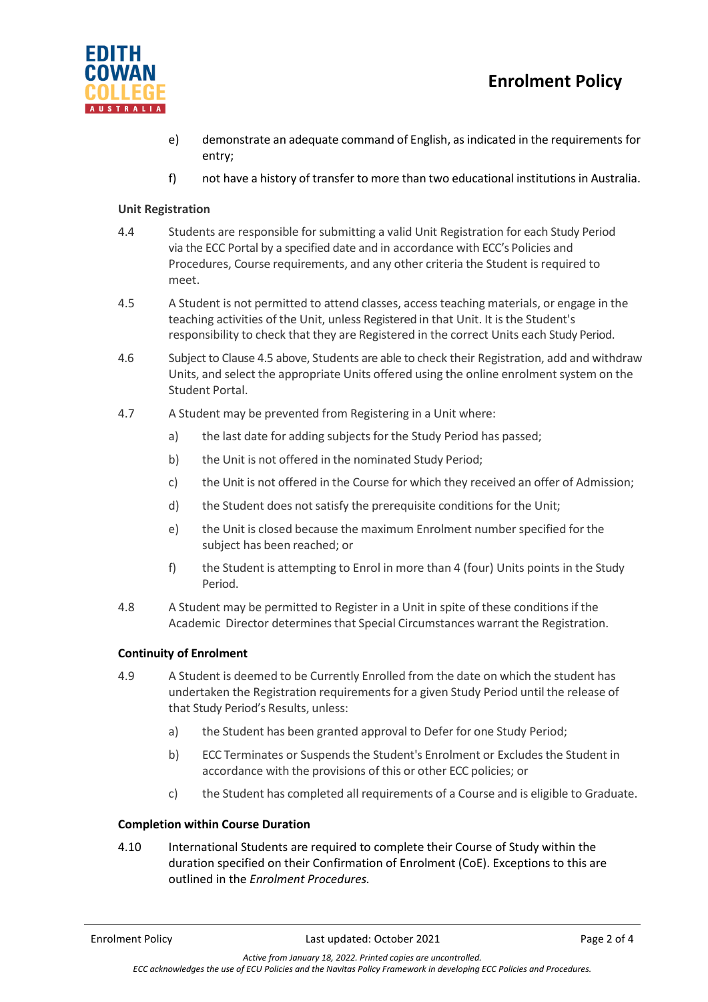

- e) demonstrate an adequate command of English, as indicated in the requirements for entry;
- f) not have a history of transfer to more than two educational institutions in Australia.

# **Unit Registration**

- 4.4 Students are responsible for submitting a valid Unit Registration for each Study Period via the ECC Portal by a specified date and in accordance with ECC's Policies and Procedures, Course requirements, and any other criteria the Student is required to meet.
- 4.5 A Student is not permitted to attend classes, access teaching materials, or engage in the teaching activities of the Unit, unless Registered in that Unit. It is the Student's responsibility to check that they are Registered in the correct Units each Study Period.
- 4.6 Subject to Clause 4.5 above, Students are able to check their Registration, add and withdraw Units, and select the appropriate Units offered using the online enrolment system on the Student Portal.
- 4.7 A Student may be prevented from Registering in a Unit where:
	- a) the last date for adding subjects for the Study Period has passed;
	- b) the Unit is not offered in the nominated Study Period;
	- c) the Unit is not offered in the Course for which they received an offer of Admission;
	- d) the Student does not satisfy the prerequisite conditions for the Unit;
	- e) the Unit is closed because the maximum Enrolment numberspecified for the subject has been reached; or
	- f) the Student is attempting to Enrol in more than 4 (four) Units points in the Study Period.
- 4.8 A Student may be permitted to Register in a Unit in spite of these conditionsif the Academic Director determines that Special Circumstances warrant the Registration.

# **Continuity of Enrolment**

- 4.9 A Student is deemed to be Currently Enrolled from the date on which the student has undertaken the Registration requirements for a given Study Period until the release of that Study Period's Results, unless:
	- a) the Student has been granted approval to Defer for one Study Period;
	- b) ECC Terminates or Suspends the Student's Enrolment or Excludes the Student in accordance with the provisions of this or other ECC policies; or
	- c) the Student has completed all requirements of a Course and is eligible to Graduate.

# **Completion within Course Duration**

4.10 International Students are required to complete their Course of Study within the duration specified on their Confirmation of Enrolment (CoE). Exceptions to this are outlined in the *Enrolment Procedures.*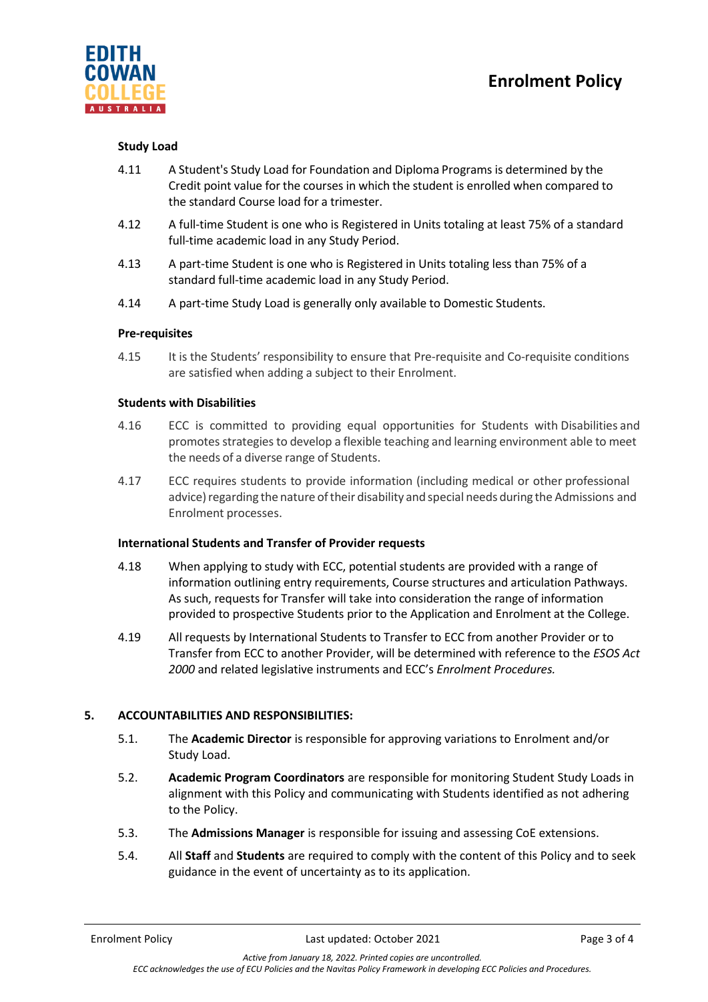

## **Study Load**

- 4.11 A Student's Study Load for Foundation and Diploma Programs is determined by the Credit point value for the courses in which the student is enrolled when compared to the standard Course load for a trimester.
- 4.12 A full-time Student is one who is Registered in Units totaling at least 75% of a standard full-time academic load in any Study Period.
- 4.13 A part-time Student is one who is Registered in Units totaling less than 75% of a standard full-time academic load in any Study Period.
- 4.14 A part-time Study Load is generally only available to Domestic Students.

## **Pre-requisites**

4.15 It is the Students' responsibility to ensure that Pre-requisite and Co-requisite conditions are satisfied when adding a subject to their Enrolment.

## **Students with Disabilities**

- 4.16 ECC is committed to providing equal opportunities for Students with Disabilities and promotes strategies to develop a flexible teaching and learning environment able to meet the needs of a diverse range of Students.
- 4.17 ECC requires students to provide information (including medical or other professional advice) regarding the nature of their disability and special needs during the Admissions and Enrolment processes.

#### **International Students and Transfer of Provider requests**

- 4.18 When applying to study with ECC, potential students are provided with a range of information outlining entry requirements, Course structures and articulation Pathways. As such, requests for Transfer will take into consideration the range of information provided to prospective Students prior to the Application and Enrolment at the College.
- 4.19 All requests by International Students to Transfer to ECC from another Provider or to Transfer from ECC to another Provider, will be determined with reference to the *ESOS Act 2000* and related legislative instruments and ECC's *Enrolment Procedures.*

# **5. ACCOUNTABILITIES AND RESPONSIBILITIES:**

- 5.1. The **Academic Director** is responsible for approving variations to Enrolment and/or Study Load.
- 5.2. **Academic Program Coordinators** are responsible for monitoring Student Study Loads in alignment with this Policy and communicating with Students identified as not adhering to the Policy.
- 5.3. The **Admissions Manager** is responsible for issuing and assessing CoE extensions.
- 5.4. All **Staff** and **Students** are required to comply with the content of this Policy and to seek guidance in the event of uncertainty as to its application.